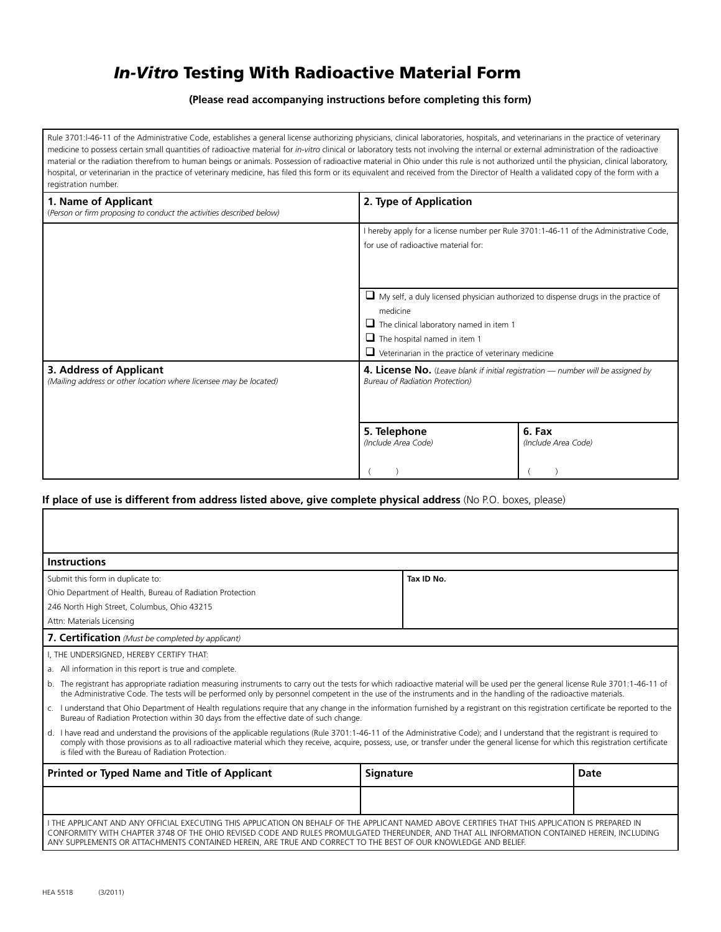## *In-Vitro* Testing With Radioactive Material Form

**(Please read accompanying instructions before completing this form)**

Rule 3701:l-46-11 of the Administrative Code, establishes a general license authorizing physicians, clinical laboratories, hospitals, and veterinarians in the practice of veterinary medicine to possess certain small quantities of radioactive material for *in-vitro* clinical or laboratory tests not involving the internal or external administration of the radioactive material or the radiation therefrom to human beings or animals. Possession of radioactive material in Ohio under this rule is not authorized until the physician, clinical laboratory, hospital, or veterinarian in the practice of veterinary medicine, has filed this form or its equivalent and received from the Director of Health a validated copy of the form with a registration number.

| 1. Name of Applicant<br>(Person or firm proposing to conduct the activities described below) | 2. Type of Application                                                                                                                                                                                                                                       |                               |
|----------------------------------------------------------------------------------------------|--------------------------------------------------------------------------------------------------------------------------------------------------------------------------------------------------------------------------------------------------------------|-------------------------------|
|                                                                                              | I hereby apply for a license number per Rule 3701:1-46-11 of the Administrative Code,<br>for use of radioactive material for:                                                                                                                                |                               |
|                                                                                              | $\Box$ My self, a duly licensed physician authorized to dispense drugs in the practice of<br>medicine<br>$\Box$ The clinical laboratory named in item 1<br>$\Box$ The hospital named in item 1<br>$\Box$ Veterinarian in the practice of veterinary medicine |                               |
| 3. Address of Applicant<br>(Mailing address or other location where licensee may be located) | 4. License No. (Leave blank if initial registration — number will be assigned by<br><b>Bureau of Radiation Protection)</b>                                                                                                                                   |                               |
|                                                                                              | 5. Telephone<br>(Include Area Code)                                                                                                                                                                                                                          | 6. Fax<br>(Include Area Code) |

## **If place of use is different from address listed above, give complete physical address** (No P.O. boxes, please)

| <b>Instructions</b>                                                                                                                                                                                                                                                                                                                                                                                                         |            |      |  |  |
|-----------------------------------------------------------------------------------------------------------------------------------------------------------------------------------------------------------------------------------------------------------------------------------------------------------------------------------------------------------------------------------------------------------------------------|------------|------|--|--|
| Submit this form in duplicate to:                                                                                                                                                                                                                                                                                                                                                                                           | Tax ID No. |      |  |  |
| Ohio Department of Health, Bureau of Radiation Protection                                                                                                                                                                                                                                                                                                                                                                   |            |      |  |  |
| 246 North High Street, Columbus, Ohio 43215                                                                                                                                                                                                                                                                                                                                                                                 |            |      |  |  |
| Attn: Materials Licensing                                                                                                                                                                                                                                                                                                                                                                                                   |            |      |  |  |
| 7. Certification (Must be completed by applicant)                                                                                                                                                                                                                                                                                                                                                                           |            |      |  |  |
| I, THE UNDERSIGNED, HEREBY CERTIFY THAT:                                                                                                                                                                                                                                                                                                                                                                                    |            |      |  |  |
| a. All information in this report is true and complete.                                                                                                                                                                                                                                                                                                                                                                     |            |      |  |  |
| b. The registrant has appropriate radiation measuring instruments to carry out the tests for which radioactive material will be used per the general license Rule 3701:1-46-11 of<br>the Administrative Code. The tests will be performed only by personnel competent in the use of the instruments and in the handling of the radioactive materials.                                                                       |            |      |  |  |
| c. I understand that Ohio Department of Health regulations require that any change in the information furnished by a registrant on this registration certificate be reported to the<br>Bureau of Radiation Protection within 30 days from the effective date of such change.                                                                                                                                                |            |      |  |  |
| d. I have read and understand the provisions of the applicable regulations (Rule 3701:1-46-11 of the Administrative Code); and I understand that the registrant is required to<br>comply with those provisions as to all radioactive material which they receive, acquire, possess, use, or transfer under the general license for which this registration certificate<br>is filed with the Bureau of Radiation Protection. |            |      |  |  |
| <b>Printed or Typed Name and Title of Applicant</b>                                                                                                                                                                                                                                                                                                                                                                         | Signature  | Date |  |  |
|                                                                                                                                                                                                                                                                                                                                                                                                                             |            |      |  |  |
| I THE APPLICANT AND ANY OFFICIAL EXECUTING THIS APPLICATION ON BEHALF OF THE APPLICANT NAMED ABOVE CERTIFIES THAT THIS APPLICATION IS PREPARED IN<br>CONFORMITY WITH CHAPTER 3748 OF THE OHIO REVISED CODE AND RULES PROMULGATED THEREUNDER, AND THAT ALL INFORMATION CONTAINED HEREIN, INCLUDING<br>ANY SUPPLEMENTS OR ATTACHMENTS CONTAINED HEREIN, ARE TRUE AND CORRECT TO THE BEST OF OUR KNOWLEDGE AND BELIEF.         |            |      |  |  |

Г